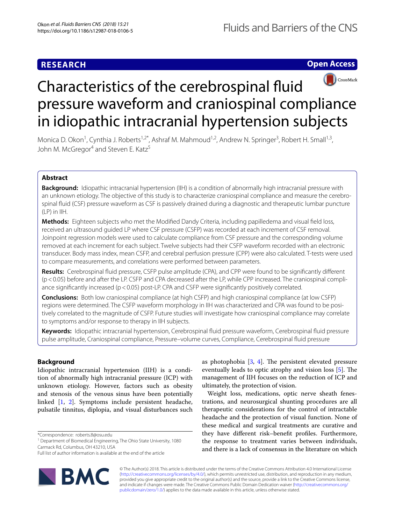# **RESEARCH**

**Open Access**



# Characteristics of the cerebrospinal fuid pressure waveform and craniospinal compliance in idiopathic intracranial hypertension subjects

Monica D. Okon<sup>1</sup>, Cynthia J. Roberts<sup>1,2\*</sup>, Ashraf M. Mahmoud<sup>1,2</sup>, Andrew N. Springer<sup>3</sup>, Robert H. Small<sup>1,3</sup>, John M. McGregor<sup>4</sup> and Steven E. Katz<sup>5</sup>

# **Abstract**

**Background:** Idiopathic intracranial hypertension (IIH) is a condition of abnormally high intracranial pressure with an unknown etiology. The objective of this study is to characterize craniospinal compliance and measure the cerebrospinal fuid (CSF) pressure waveform as CSF is passively drained during a diagnostic and therapeutic lumbar puncture (LP) in IIH.

**Methods:** Eighteen subjects who met the Modifed Dandy Criteria, including papilledema and visual feld loss, received an ultrasound guided LP where CSF pressure (CSFP) was recorded at each increment of CSF removal. Joinpoint regression models were used to calculate compliance from CSF pressure and the corresponding volume removed at each increment for each subject. Twelve subjects had their CSFP waveform recorded with an electronic transducer. Body mass index, mean CSFP, and cerebral perfusion pressure (CPP) were also calculated. T-tests were used to compare measurements, and correlations were performed between parameters.

**Results:** Cerebrospinal fuid pressure, CSFP pulse amplitude (CPA), and CPP were found to be signifcantly diferent (p<0.05) before and after the LP. CSFP and CPA decreased after the LP, while CPP increased. The craniospinal compliance significantly increased (p < 0.05) post-LP. CPA and CSFP were significantly positively correlated.

**Conclusions:** Both low craniospinal compliance (at high CSFP) and high craniospinal compliance (at low CSFP) regions were determined. The CSFP waveform morphology in IIH was characterized and CPA was found to be positively correlated to the magnitude of CSFP. Future studies will investigate how craniospinal compliance may correlate to symptoms and/or response to therapy in IIH subjects.

**Keywords:** Idiopathic intracranial hypertension, Cerebrospinal fuid pressure waveform, Cerebrospinal fuid pressure pulse amplitude, Craniospinal compliance, Pressure–volume curves, Compliance, Cerebrospinal fuid pressure

# **Background**

Idiopathic intracranial hypertension (IIH) is a condition of abnormally high intracranial pressure (ICP) with unknown etiology. However, factors such as obesity and stenosis of the venous sinus have been potentially linked [[1,](#page-5-0) [2](#page-5-1)]. Symptoms include persistent headache, pulsatile tinnitus, diplopia, and visual disturbances such

\*Correspondence: roberts.8@osu.edu

Full list of author information is available at the end of the article



as photophobia  $[3, 4]$  $[3, 4]$  $[3, 4]$  $[3, 4]$ . The persistent elevated pressure eventually leads to optic atrophy and vision loss  $[5]$  $[5]$ . The management of IIH focuses on the reduction of ICP and ultimately, the protection of vision.

Weight loss, medications, optic nerve sheath fenestrations, and neurosurgical shunting procedures are all therapeutic considerations for the control of intractable headache and the protection of visual function. None of these medical and surgical treatments are curative and they have diferent risk–beneft profles. Furthermore, the response to treatment varies between individuals, and there is a lack of consensus in the literature on which

© The Author(s) 2018. This article is distributed under the terms of the Creative Commons Attribution 4.0 International License [\(http://creativecommons.org/licenses/by/4.0/\)](http://creativecommons.org/licenses/by/4.0/), which permits unrestricted use, distribution, and reproduction in any medium, provided you give appropriate credit to the original author(s) and the source, provide a link to the Creative Commons license, and indicate if changes were made. The Creative Commons Public Domain Dedication waiver ([http://creativecommons.org/](http://creativecommons.org/publicdomain/zero/1.0/) [publicdomain/zero/1.0/](http://creativecommons.org/publicdomain/zero/1.0/)) applies to the data made available in this article, unless otherwise stated.

<sup>&</sup>lt;sup>1</sup> Department of Biomedical Engineering, The Ohio State University, 1080 Carmack Rd, Columbus, OH 43210, USA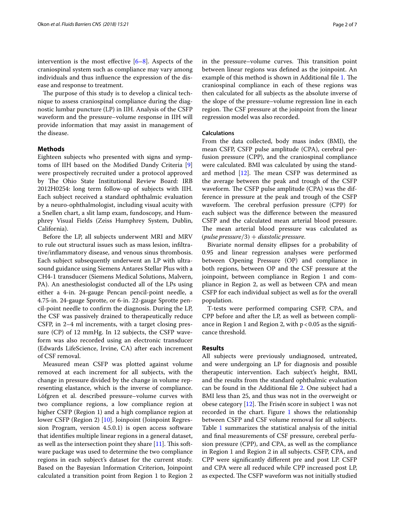intervention is the most effective  $[6-8]$  $[6-8]$ . Aspects of the craniospinal system such as compliance may vary among individuals and thus infuence the expression of the disease and response to treatment.

The purpose of this study is to develop a clinical technique to assess craniospinal compliance during the diagnostic lumbar puncture (LP) in IIH. Analysis of the CSFP waveform and the pressure–volume response in IIH will provide information that may assist in management of the disease.

# **Methods**

Eighteen subjects who presented with signs and symptoms of IIH based on the Modifed Dandy Criteria [\[9](#page-5-7)] were prospectively recruited under a protocol approved by The Ohio State Institutional Review Board: IRB 2012H0254: long term follow-up of subjects with IIH. Each subject received a standard ophthalmic evaluation by a neuro-ophthalmologist, including visual acuity with a Snellen chart, a slit lamp exam, fundoscopy, and Humphrey Visual Fields (Zeiss Humphrey System, Dublin, California).

Before the LP, all subjects underwent MRI and MRV to rule out structural issues such as mass lesion, infltrative/infammatory disease, and venous sinus thrombosis. Each subject subsequently underwent an LP with ultrasound guidance using Siemens Antares Stellar Plus with a CH4-1 transducer (Siemens Medical Solutions, Malvern, PA). An anesthesiologist conducted all of the LPs using either a 4-in. 24-gauge Pencan pencil-point needle, a 4.75-in. 24-gauge Sprotte, or 6-in. 22-gauge Sprotte pencil-point needle to confrm the diagnosis. During the LP, the CSF was passively drained to therapeutically reduce CSFP, in 2–4 ml increments, with a target closing pressure (CP) of 12 mmHg. In 12 subjects, the CSFP waveform was also recorded using an electronic transducer (Edwards LifeScience, Irvine, CA) after each increment of CSF removal.

Measured mean CSFP was plotted against volume removed at each increment for all subjects, with the change in pressure divided by the change in volume representing elastance, which is the inverse of compliance. Löfgren et al. described pressure–volume curves with two compliance regions, a low compliance region at higher CSFP (Region 1) and a high compliance region at lower CSFP (Region 2) [\[10](#page-5-8)]. Joinpoint (Joinpoint Regression Program, version 4.5.0.1) is open access software that identifes multiple linear regions in a general dataset, as well as the intersection point they share  $[11]$  $[11]$  $[11]$ . This software package was used to determine the two compliance regions in each subject's dataset for the current study. Based on the Bayesian Information Criterion, Joinpoint calculated a transition point from Region 1 to Region 2 in the pressure–volume curves. This transition point between linear regions was defned as the joinpoint. An example of this method is shown in Additional file [1](#page-5-10). The craniospinal compliance in each of these regions was then calculated for all subjects as the absolute inverse of the slope of the pressure–volume regression line in each region. The CSF pressure at the joinpoint from the linear regression model was also recorded.

# **Calculations**

From the data collected, body mass index (BMI), the mean CSFP, CSFP pulse amplitude (CPA), cerebral perfusion pressure (CPP), and the craniospinal compliance were calculated. BMI was calculated by using the standard method  $[12]$  $[12]$ . The mean CSFP was determined as the average between the peak and trough of the CSFP waveform. The CSFP pulse amplitude (CPA) was the difference in pressure at the peak and trough of the CSFP waveform. The cerebral perfusion pressure (CPP) for each subject was the diference between the measured CSFP and the calculated mean arterial blood pressure. The mean arterial blood pressure was calculated as  $(pulse pressure/3) + diastolic pressure.$ 

Bivariate normal density ellipses for a probability of 0.95 and linear regression analyses were performed between Opening Pressure (OP) and compliance in both regions, between OP and the CSF pressure at the joinpoint, between compliance in Region 1 and compliance in Region 2, as well as between CPA and mean CSFP for each individual subject as well as for the overall population.

T-tests were performed comparing CSFP, CPA, and CPP before and after the LP, as well as between compliance in Region 1 and Region 2, with  $p < 0.05$  as the significance threshold.

# **Results**

All subjects were previously undiagnosed, untreated, and were undergoing an LP for diagnosis and possible therapeutic intervention. Each subject's height, BMI, and the results from the standard ophthalmic evaluation can be found in the Additional fle [2](#page-5-12). One subject had a BMI less than 25, and thus was not in the overweight or obese category  $[12]$  $[12]$ . The Frisén score in subject 1 was not recorded in the chart. Figure  $1$  shows the relationship between CSFP and CSF volume removal for all subjects. Table [1](#page-2-1) summarizes the statistical analysis of the initial and fnal measurements of CSF pressure, cerebral perfusion pressure (CPP), and CPA, as well as the compliance in Region 1 and Region 2 in all subjects. CSFP, CPA, and CPP were signifcantly diferent pre and post LP. CSFP and CPA were all reduced while CPP increased post LP, as expected. The CSFP waveform was not initially studied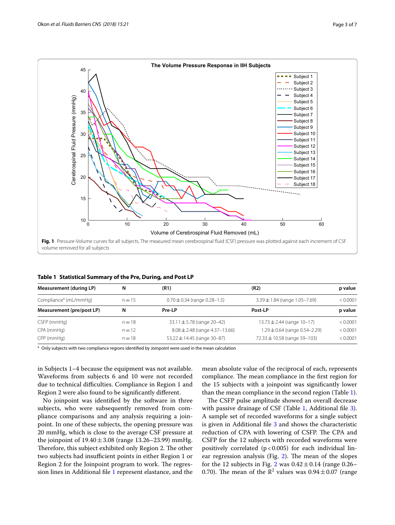

<span id="page-2-1"></span><span id="page-2-0"></span>**Table 1 Statistical Summary of the Pre, During, and Post LP**

| Measurement (during LP)           | N        | (R1)                               | (R2)                              | p value  |
|-----------------------------------|----------|------------------------------------|-----------------------------------|----------|
| Compliance <sup>a</sup> (mL/mmHg) | $n = 15$ | $0.70 \pm 0.34$ (range 0.28-1.5)   | $3.39 \pm 1.84$ (range 1.05-7.69) | < 0.0001 |
| Measurement (pre/post LP)         | N        | Pre-LP                             | Post-LP                           | p value  |
| CSFP (mmHg)                       | $n = 18$ | 33.11 $\pm$ 5.78 (range 20-42)     | $13.73 \pm 2.44$ (range 10-17)    | < 0.0001 |
| CPA (mmHg)                        | $n = 12$ | $8.08 \pm 2.48$ (range 4.37-13.66) | $1.29 \pm 0.64$ (range 0.54-2.29) | < 0.0001 |
| CPP (mmHg)                        | $n = 18$ | 53.22 $\pm$ 14.45 (range 30-87)    | 72.33 $\pm$ 10.58 (range 59-103)  | < 0.0001 |

<sup>a</sup> Only subjects with two compliance regions identified by Joinpoint were used in the mean calculation

in Subjects 1–4 because the equipment was not available. Waveforms from subjects 6 and 10 were not recorded due to technical difficulties. Compliance in Region 1 and Region 2 were also found to be signifcantly diferent.

No joinpoint was identifed by the software in three subjects, who were subsequently removed from compliance comparisons and any analysis requiring a joinpoint. In one of these subjects, the opening pressure was 20 mmHg, which is close to the average CSF pressure at the joinpoint of  $19.40 \pm 3.08$  (range 13.26–23.99) mmHg. Therefore, this subject exhibited only Region 2. The other two subjects had insufficient points in either Region 1 or Region 2 for the Joinpoint program to work. The regression lines in Additional fle [1](#page-5-10) represent elastance, and the

mean absolute value of the reciprocal of each, represents compliance. The mean compliance in the first region for the 15 subjects with a joinpoint was signifcantly lower than the mean compliance in the second region (Table [1](#page-2-1)).

The CSFP pulse amplitude showed an overall decrease with passive drainage of CSF (Table [1,](#page-2-1) Additional fle [3](#page-5-13)). A sample set of recorded waveforms for a single subject is given in Additional fle [3](#page-5-13) and shows the characteristic reduction of CPA with lowering of CSFP. The CPA and CSFP for the 12 subjects with recorded waveforms were positively correlated  $(p < 0.005)$  for each individual lin-ear regression analysis (Fig. [2\)](#page-3-0). The mean of the slopes for the 1[2](#page-3-0) subjects in Fig. 2 was  $0.42 \pm 0.14$  (range 0.26– 0.70). The mean of the  $R^2$  values was  $0.94 \pm 0.07$  (range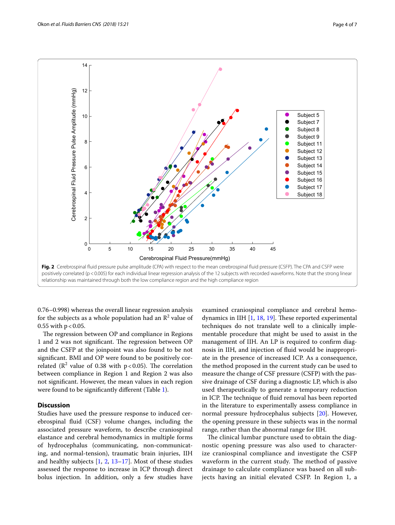

<span id="page-3-0"></span>0.76–0.998) whereas the overall linear regression analysis for the subjects as a whole population had an  $\mathbb{R}^2$  value of 0.55 with  $p < 0.05$ .

The regression between OP and compliance in Regions 1 and 2 was not significant. The regression between OP and the CSFP at the joinpoint was also found to be not signifcant. BMI and OP were found to be positively correlated ( $\mathbb{R}^2$  value of 0.38 with p<0.05). The correlation between compliance in Region 1 and Region 2 was also not signifcant. However, the mean values in each region were found to be significantly different (Table [1](#page-2-1)).

# **Discussion**

Studies have used the pressure response to induced cerebrospinal fuid (CSF) volume changes, including the associated pressure waveform, to describe craniospinal elastance and cerebral hemodynamics in multiple forms of hydrocephalus (communicating, non-communicating, and normal-tension), traumatic brain injuries, IIH and healthy subjects  $[1, 2, 13-17]$  $[1, 2, 13-17]$  $[1, 2, 13-17]$  $[1, 2, 13-17]$  $[1, 2, 13-17]$  $[1, 2, 13-17]$ . Most of these studies assessed the response to increase in ICP through direct bolus injection. In addition, only a few studies have

examined craniospinal compliance and cerebral hemodynamics in IIH  $[1, 18, 19]$  $[1, 18, 19]$  $[1, 18, 19]$  $[1, 18, 19]$  $[1, 18, 19]$ . These reported experimental techniques do not translate well to a clinically implementable procedure that might be used to assist in the management of IIH. An LP is required to confrm diagnosis in IIH, and injection of fuid would be inappropriate in the presence of increased ICP. As a consequence, the method proposed in the current study can be used to measure the change of CSF pressure (CSFP) with the passive drainage of CSF during a diagnostic LP, which is also used therapeutically to generate a temporary reduction in ICP. The technique of fluid removal has been reported in the literature to experimentally assess compliance in normal pressure hydrocephalus subjects [[20\]](#page-5-18). However, the opening pressure in these subjects was in the normal range, rather than the abnormal range for IIH.

The clinical lumbar puncture used to obtain the diagnostic opening pressure was also used to characterize craniospinal compliance and investigate the CSFP waveform in the current study. The method of passive drainage to calculate compliance was based on all subjects having an initial elevated CSFP. In Region 1, a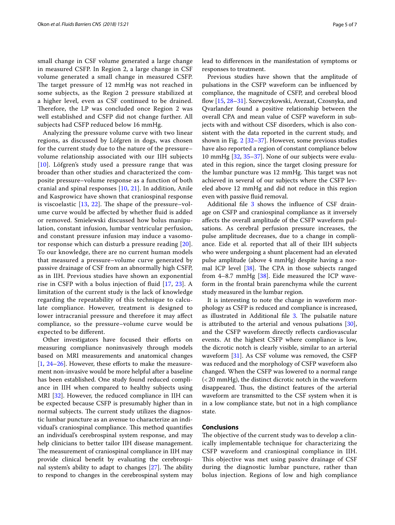small change in CSF volume generated a large change in measured CSFP. In Region 2, a large change in CSF volume generated a small change in measured CSFP. The target pressure of 12 mmHg was not reached in some subjects, as the Region 2 pressure stabilized at a higher level, even as CSF continued to be drained. Therefore, the LP was concluded once Region 2 was well established and CSFP did not change further. All subjects had CSFP reduced below 16 mmHg.

Analyzing the pressure volume curve with two linear regions, as discussed by Löfgren in dogs, was chosen for the current study due to the nature of the pressure– volume relationship associated with our IIH subjects [[10](#page-5-8)]. Löfgren's study used a pressure range that was broader than other studies and characterized the composite pressure–volume response as a function of both cranial and spinal responses [[10](#page-5-8), [21](#page-5-19)]. In addition, Anile and Kasprowicz have shown that craniospinal response is viscoelastic  $[13, 22]$  $[13, 22]$  $[13, 22]$  $[13, 22]$ . The shape of the pressure–volume curve would be afected by whether fuid is added or removed. Smielewski discussed how bolus manipulation, constant infusion, lumbar ventricular perfusion, and constant pressure infusion may induce a vasomotor response which can disturb a pressure reading [[20\]](#page-5-18). To our knowledge, there are no current human models that measured a pressure–volume curve generated by passive drainage of CSF from an abnormally high CSFP, as in IIH. Previous studies have shown an exponential rise in CSFP with a bolus injection of fuid [[17,](#page-5-15) [23](#page-5-21)]. A limitation of the current study is the lack of knowledge regarding the repeatability of this technique to calculate compliance. However, treatment is designed to lower intracranial pressure and therefore it may afect compliance, so the pressure–volume curve would be expected to be diferent.

Other investigators have focused their efforts on measuring compliance noninvasively through models based on MRI measurements and anatomical changes  $[1, 24-26]$  $[1, 24-26]$  $[1, 24-26]$  $[1, 24-26]$ . However, these efforts to make the measurement non-invasive would be more helpful after a baseline has been established. One study found reduced compliance in IIH when compared to healthy subjects using MRI [\[32\]](#page-6-2). However, the reduced compliance in IIH can be expected because CSFP is presumably higher than in normal subjects. The current study utilizes the diagnostic lumbar puncture as an avenue to characterize an individual's craniospinal compliance. This method quantifies an individual's cerebrospinal system response, and may help clinicians to better tailor IIH disease management. The measurement of craniospinal compliance in IIH may provide clinical beneft by evaluating the cerebrospinal system's ability to adapt to changes  $[27]$  $[27]$  $[27]$ . The ability to respond to changes in the cerebrospinal system may lead to diferences in the manifestation of symptoms or responses to treatment.

Previous studies have shown that the amplitude of pulsations in the CSFP waveform can be infuenced by compliance, the magnitude of CSFP, and cerebral blood flow [[15,](#page-5-22) [28–](#page-6-4)[31\]](#page-6-5). Szewczykowski, Avezaat, Czosnyka, and Qvarlander found a positive relationship between the overall CPA and mean value of CSFP waveform in subjects with and without CSF disorders, which is also consistent with the data reported in the current study, and shown in Fig. [2](#page-3-0) [\[32–](#page-6-2)[37\]](#page-6-6). However, some previous studies have also reported a region of constant compliance below 10 mmHg [\[32](#page-6-2), [35](#page-6-7)[–37\]](#page-6-6). None of our subjects were evaluated in this region, since the target closing pressure for the lumbar puncture was 12 mmHg. This target was not achieved in several of our subjects where the CSFP leveled above 12 mmHg and did not reduce in this region even with passive fuid removal.

Additional file [3](#page-5-13) shows the influence of CSF drainage on CSFP and craniospinal compliance as it inversely afects the overall amplitude of the CSFP waveform pulsations. As cerebral perfusion pressure increases, the pulse amplitude decreases, due to a change in compliance. Eide et al. reported that all of their IIH subjects who were undergoing a shunt placement had an elevated pulse amplitude (above 4 mmHg) despite having a normal ICP level  $[38]$  $[38]$ . The CPA in those subjects ranged from  $4-8.7$  mmHg  $[38]$  $[38]$ . Eide measured the ICP waveform in the frontal brain parenchyma while the current study measured in the lumbar region.

It is interesting to note the change in waveform morphology as CSFP is reduced and compliance is increased, as illustrated in Additional file [3](#page-5-13). The pulsatile nature is attributed to the arterial and venous pulsations [\[30](#page-6-9)], and the CSFP waveform directly refects cardiovascular events. At the highest CSFP where compliance is low, the dicrotic notch is clearly visible, similar to an arterial waveform [[31\]](#page-6-5). As CSF volume was removed, the CSFP was reduced and the morphology of CSFP waveform also changed. When the CSFP was lowered to a normal range (<20 mmHg), the distinct dicrotic notch in the waveform disappeared. Thus, the distinct features of the arterial waveform are transmitted to the CSF system when it is in a low compliance state, but not in a high compliance state.

# **Conclusions**

The objective of the current study was to develop a clinically implementable technique for characterizing the CSFP waveform and craniospinal compliance in IIH. This objective was met using passive drainage of CSF during the diagnostic lumbar puncture, rather than bolus injection. Regions of low and high compliance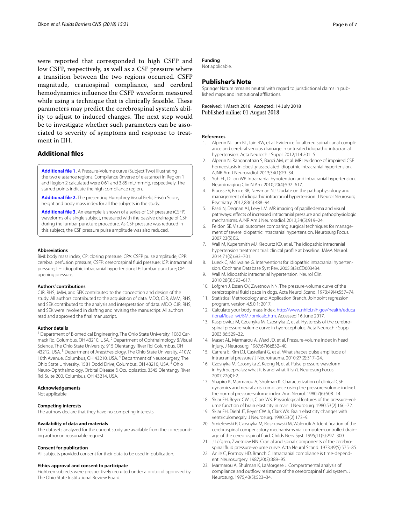were reported that corresponded to high CSFP and low CSFP, respectively, as well as a CSF pressure where a transition between the two regions occurred. CSFP magnitude, craniospinal compliance, and cerebral hemodynamics infuence the CSFP waveform measured while using a technique that is clinically feasible. These parameters may predict the cerebrospinal system's ability to adjust to induced changes. The next step would be to investigate whether such parameters can be associated to severity of symptoms and response to treatment in IIH.

# **Additional fles**

<span id="page-5-10"></span>**[Additional fle 1.](https://doi.org/10.1186/s12987-018-0106-5)** A Pressure-Volume curve (Subject Two) illustrating the two elastance regions. Compliance (inverse of elastance) in Region 1 and Region 2 calculated were 0.61 and 3.85 mL/mmHg, respectively. The starred points indicate the high compliance region.

<span id="page-5-13"></span><span id="page-5-12"></span>**[Additional fle 2.](https://doi.org/10.1186/s12987-018-0106-5)** The presenting Humphrey Visual Field, Frisén Score, height and body mass index for all the subjects in the study.

**[Additional fle 3.](https://doi.org/10.1186/s12987-018-0106-5)** An example is shown of a series of CSF pressure (CSFP) waveforms of a single subject, measured with the passive drainage of CSF during the lumbar puncture procedure. As CSF pressure was reduced in this subject, the CSF pressure pulse amplitude was also reduced.

#### **Abbreviations**

BMI: body mass index; CP: closing pressure; CPA: CSFP pulse amplitude; CPP: cerebral perfusion pressure; CSFP: cerebrospinal fuid pressure; ICP: intracranial pressure; IIH: idiopathic intracranial hypertension; LP: lumbar puncture; OP: opening pressure.

#### **Authors' contributions**

CJR, RHS, JMM, and SEK contributed to the conception and design of the study. All authors contributed to the acquisition of data. MDO, CJR, AMM, RHS, and SEK contributed to the analysis and interpretation of data. MDO, CJR, RHS, and SEK were involved in drafting and revising the manuscript. All authors read and approved the fnal manuscript.

#### **Author details**

<sup>1</sup> Department of Biomedical Engineering, The Ohio State University, 1080 Carmack Rd, Columbus, OH 43210, USA. <sup>2</sup> Department of Ophthalmology & Visual Science, The Ohio State University, 915 Olentangy River Rd, Columbus, OH 43212, USA. 3 Department of Anesthesiology, The Ohio State University, 410W. 10th Avenue, Columbus, OH 43210, USA. 4 Department of Neurosurgery, The Ohio State University, 1581 Dodd Drive, Columbus, OH 43210, USA. 5 Ohio Neuro-Ophthalmology, Orbital Disease & Oculoplastics, 3545 Olentangy River Rd, Suite 200, Columbus, OH 43214, USA.

#### **Acknowledgements**

Not applicable

#### **Competing interests**

The authors declare that they have no competing interests.

#### **Availability of data and materials**

The datasets analyzed for the current study are available from the corresponding author on reasonable request.

#### **Consent for publication**

All subjects provided consent for their data to be used in publication.

#### **Ethics approval and consent to participate**

Eighteen subjects were prospectively recruited under a protocol approved by The Ohio State Institutional Review Board.

#### **Funding**

Not applicable.

### **Publisher's Note**

Springer Nature remains neutral with regard to jurisdictional claims in published maps and institutional affiliations.

Received: 1 March 2018 Accepted: 14 July 2018<br>Published online: 01 August 2018

#### **References**

- <span id="page-5-0"></span>1. Alperin N, Lam BL, Tain RW, et al. Evidence for altered spinal canal compliance and cerebral venous drainage in untreated idiopathic intracranial hypertension. Acta Neurochir Suppl. 2012;114:201–5.
- <span id="page-5-1"></span>2. Alperin N, Ranganathan S, Bagci AM, et al. MRI evidence of impaired CSF homeostasis in obesity-associated idiopathic intracranial hypertension. AJNR Am J Neuroradiol. 2013;34(1):29–34.
- <span id="page-5-2"></span>3. Yuh EL, Dillon WP. Intracranial hypotension and intracranial hypertension. Neuroimaging Clin N Am. 2010;20(4):597–617.
- <span id="page-5-3"></span>4. Biousse V, Bruce BB, Newman NJ. Update on the pathophysiology and management of idiopathic intracranial hypertension. J Neurol Neurosurg Psychiatry. 2012;83(5):488–94.
- <span id="page-5-4"></span>5. Passi N, Degnan AJ, Levy LM. MR imaging of papilledema and visual pathways: efects of increased intracranial pressure and pathophysiologic mechanisms. AJNR Am J Neuroradiol. 2013;34(5):919–24.
- <span id="page-5-5"></span>6. Feldon SE. Visual outcomes comparing surgical techniques for management of severe idiopathic intracranial hypertension. Neurosurg Focus. 2007;23(5):E6.
- 7. Wall M, Kupersmith MJ, Kieburtz KD, et al. The idiopathic intracranial hypertension treatment trial: clinical profle at baseline. JAMA Neurol. 2014;71(6):693–701.
- <span id="page-5-6"></span>8. Lueck C, McIlwaine G. Interventions for idiopathic intracranial hypertension. Cochrane Database Syst Rev. 2005;3(3):CD003434.
- <span id="page-5-7"></span>9. Wall M. Idiopathic intracranial hypertension. Neurol Clin. 2010;28(3):593–617.
- <span id="page-5-8"></span>10. Löfgren J, Essen CV, Zwetnow NN. The pressure-volume curve of the cerebrospinal fuid space in dogs. Acta Neurol Scand. 1973;49(4):557–74.
- <span id="page-5-9"></span>11. Statistical Methodology and Application Branch. Joinpoint regression program, version 4.5.0.1; 2017.
- <span id="page-5-11"></span>12. Calculate your body mass index. [http://www.nhlbi.nih.gov/health/educa](http://www.nhlbi.nih.gov/health/educational/lose_wt/BMI/bmicalc.htm) [tional/lose\\_wt/BMI/bmicalc.htm](http://www.nhlbi.nih.gov/health/educational/lose_wt/BMI/bmicalc.htm). Accessed 16 June 2017.
- <span id="page-5-14"></span>13. Kasprowicz M, Czosnyka M, Czosnyka Z, et al. Hysteresis of the cerebrospinal pressure-volume curve in hydrocephalus. Acta Neurochir Suppl. 2003;86:529–32.
- 14. Maset AL, Marmarou A, Ward JD, et al. Pressure-volume index in head injury. J Neurosurg. 1987;67(6):832–40.
- <span id="page-5-22"></span>15. Carrera E, Kim DJ, Castellani G, et al. What shapes pulse amplitude of intracranial pressure? J Neurotrauma. 2010;27(2):317–24.
- 16. Czosnyka M, Czosnyka Z, Keong N, et al. Pulse pressure waveform in hydrocephalus: what it is and what it isn't. Neurosurg Focus. 2007;22(4):E2.
- <span id="page-5-15"></span>17. Shapiro K, Marmarou A, Shulman K. Characterization of clinical CSF dynamics and neural axis compliance using the pressure-volume index: I. the normal pressure-volume index. Ann Neurol. 1980;7(6):508–14.
- <span id="page-5-16"></span>18. Sklar FH, Beyer CW Jr, Clark WK. Physiological features of the pressure-volume function of brain elasticity in man. J Neurosurg. 1980;53(2):166–72.
- <span id="page-5-17"></span>19. Sklar FH, Diehl JT, Beyer CW Jr, Clark WK. Brain elasticity changes with ventriculomegaly. J Neurosurg. 1980;53(2):173–9.
- <span id="page-5-18"></span>20. Smielewski P, Czosnyka M, Roszkowski M, Walencik A. Identifcation of the cerebrospinal compensatory mechanisms via computer-controlled drainage of the cerebrospinal fuid. Childs Nerv Syst. 1995;11(5):297–300.
- <span id="page-5-19"></span>21. J Löfgren, Zwetnow NN. Cranial and spinal components of the cerebrospinal fuid pressure-volume curve. Acta Neurol Scand. 1973;49(5):575–85.
- <span id="page-5-20"></span>22. Anile C, Portnoy HD, Branch C. Intracranial compliance is time-dependent. Neurosurgery. 1987;20(3):389–95.
- <span id="page-5-21"></span>23. Marmarou A, Shulman K, LaMorgese J. Compartmental analysis of compliance and outflow resistance of the cerebrospinal fluid system. J Neurosurg. 1975;43(5):523–34.